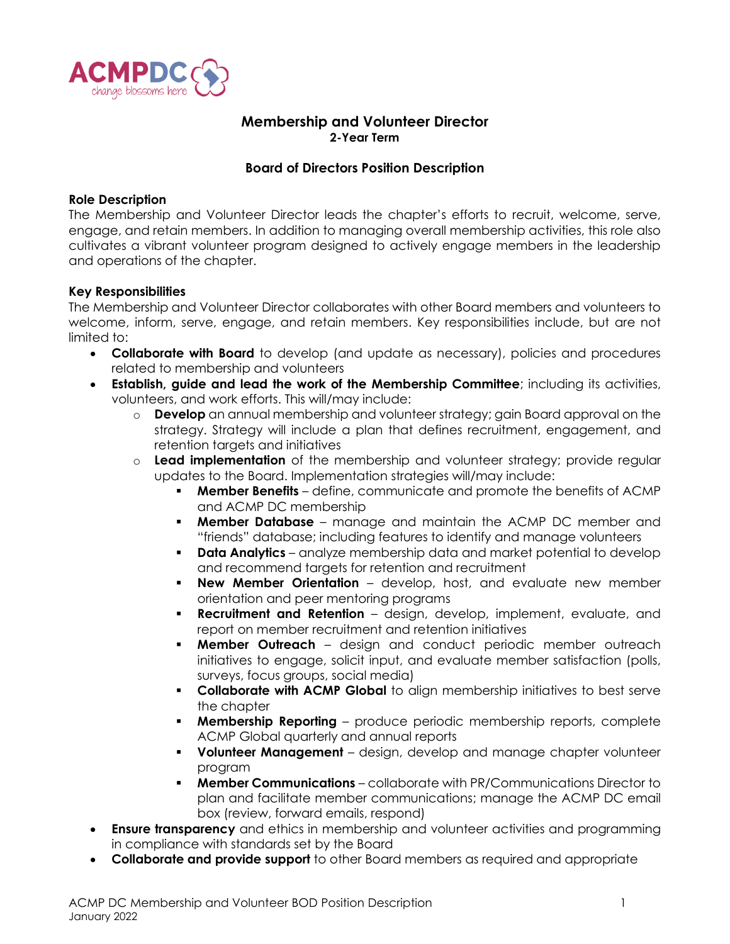

# **Membership and Volunteer Director 2-Year Term**

# **Board of Directors Position Description**

#### **Role Description**

The Membership and Volunteer Director leads the chapter's efforts to recruit, welcome, serve, engage, and retain members. In addition to managing overall membership activities, this role also cultivates a vibrant volunteer program designed to actively engage members in the leadership and operations of the chapter.

## **Key Responsibilities**

The Membership and Volunteer Director collaborates with other Board members and volunteers to welcome, inform, serve, engage, and retain members. Key responsibilities include, but are not limited to:

- **Collaborate with Board** to develop (and update as necessary), policies and procedures related to membership and volunteers
- **Establish, guide and lead the work of the Membership Committee**; including its activities, volunteers, and work efforts. This will/may include:
	- o **Develop** an annual membership and volunteer strategy; gain Board approval on the strategy. Strategy will include a plan that defines recruitment, engagement, and retention targets and initiatives
	- o **Lead implementation** of the membership and volunteer strategy; provide regular updates to the Board. Implementation strategies will/may include:
		- **Member Benefits** define, communicate and promote the benefits of ACMP and ACMP DC membership
		- **Member Database** manage and maintain the ACMP DC member and "friends" database; including features to identify and manage volunteers
		- **Data Analytics** analyze membership data and market potential to develop and recommend targets for retention and recruitment
		- **New Member Orientation** develop, host, and evaluate new member orientation and peer mentoring programs
		- **Recruitment and Retention** design, develop, implement, evaluate, and report on member recruitment and retention initiatives
		- **Member Outreach** design and conduct periodic member outreach initiatives to engage, solicit input, and evaluate member satisfaction (polls, surveys, focus groups, social media)
		- **Collaborate with ACMP Global** to align membership initiatives to best serve the chapter
		- **Membership Reporting** produce periodic membership reports, complete ACMP Global quarterly and annual reports
		- **Volunteer Management** design, develop and manage chapter volunteer program
		- **Member Communications** collaborate with PR/Communications Director to plan and facilitate member communications; manage the ACMP DC email box (review, forward emails, respond)
- **Ensure transparency** and ethics in membership and volunteer activities and programming in compliance with standards set by the Board
- **Collaborate and provide support** to other Board members as required and appropriate